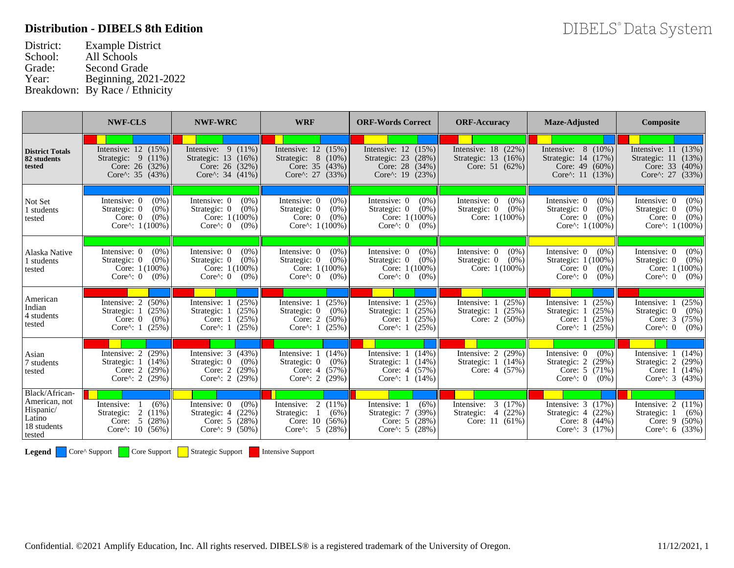## **Distribution - DIBELS 8th Edition**

| District: | <b>Example District</b>        |
|-----------|--------------------------------|
| School:   | All Schools                    |
| Grade:    | <b>Second Grade</b>            |
| Year:     | Beginning, 2021-2022           |
|           | Breakdown: By Race / Ethnicity |

|                                                                                 | <b>NWF-CLS</b>                                                                                        | <b>NWF-WRC</b>                                                                                        | <b>WRF</b>                                                                                            | <b>ORF-Words Correct</b>                                                                               | <b>ORF-Accuracy</b>                                                     | Maze-                                                         |
|---------------------------------------------------------------------------------|-------------------------------------------------------------------------------------------------------|-------------------------------------------------------------------------------------------------------|-------------------------------------------------------------------------------------------------------|--------------------------------------------------------------------------------------------------------|-------------------------------------------------------------------------|---------------------------------------------------------------|
| <b>District Totals</b><br>82 students<br>tested                                 | Intensive: $12$ $(15\%)$<br>Strategic: $9(11\%)$<br>Core: $26$ (32%)<br>Core^: 35 $(43%)$             | Intensive: $9(11\%)$<br>Strategic: 13 (16%)<br>Core: $26$ (32%)<br>Core^: $34$ (41%)                  | Intensive: $12$ $(15%)$<br>Strategic: $8(10\%)$<br>Core: $35(43%)$<br>Core^: $27$ (33%)               | Intensive: $12$ (15%)<br>Strategic: 23<br>(28%)<br>Core: $28$ (34%)<br>Core^: $19$ (23%)               | Intensive: 18<br>(22%)<br>Strategic: 13<br>$(16\%)$<br>Core: $51(62%)$  | Intensiy<br>Strategi<br>Co <sub>1</sub><br>Core               |
| Not Set<br>1 students<br>tested                                                 | $(0\%)$<br>Intensive: 0<br>$(0\%)$<br>Strategic: 0<br>$(0\%)$<br>Core: $0$<br>Core^: $1(100%)$        | Intensive: 0<br>$(0\%)$<br>$(0\%)$<br>Strategic: 0<br>Core: $1(100%)$<br>Core $\wedge$ : 0<br>$(0\%)$ | Intensive: 0<br>$(0\%)$<br>Strategic: 0<br>$(0\%)$<br>Core: $0$<br>$(0\%)$<br>Core^: $1(100%)$        | $(0\%)$<br>Intensive: 0<br>Strategic: 0<br>$(0\%)$<br>Core: $1(100\%)$<br>Core $\wedge$ : 0<br>$(0\%)$ | Intensive: 0<br>$(0\%)$<br>Strategic: 0<br>$(0\%)$<br>Core: $1(100%)$   | Intensi<br>Strate<br>C <sub>0</sub><br>Co <sub>1</sub>        |
| Alaska Native<br>1 students<br>tested                                           | Intensive: 0<br>$(0\%)$<br>$(0\%)$<br>Strategic: 0<br>Core: $1(100%)$<br>Core $\wedge$ : 0<br>$(0\%)$ | Intensive: 0<br>$(0\%)$<br>$(0\%)$<br>Strategic: 0<br>Core: $1(100%)$<br>Core $\wedge$ : 0<br>$(0\%)$ | Intensive: 0<br>$(0\%)$<br>$(0\%)$<br>Strategic: 0<br>Core: $1(100%)$<br>Core $\wedge$ : 0<br>$(0\%)$ | Intensive: 0<br>$(0\%)$<br>Strategic: 0<br>$(0\%)$<br>Core: $1(100\%)$<br>Core $\wedge$ : 0<br>$(0\%)$ | Intensive: 0<br>$(0\%)$<br>Strategic: 0<br>$(0\%)$<br>Core: $1(100%)$   | Intensi<br>Strate<br>C <sub>0</sub><br>Co <sub>1</sub>        |
| American<br>Indian<br>4 students<br>tested                                      | Intensive: $2(50\%)$<br>(25%)<br>Strategic: 1<br>$(0\%)$<br>Core: $0$<br>Core $\wedge$ : 1<br>(25%)   | Intensive: 1<br>(25%)<br>(25%)<br>Strategic: 1<br>(25%)<br>Core: $1$<br>(25%)<br>Core $\wedge$ : 1    | Intensive: 1<br>(25%)<br>$(0\%)$<br>Strategic: 0<br>Core: $2$<br>$(50\%)$<br>Core^: $1(25%)$          | Intensive: 1<br>(25%)<br>Strategic: 1<br>(25%)<br>(25%)<br>Core: $1$<br>Core^: $1(25%)$                | Intensive: 1<br>(25%)<br>(25%)<br>Strategic:<br>Core: 2<br>$(50\%)$     | Intensi<br><b>Strate</b><br>C <sub>0</sub><br>Co <sub>1</sub> |
| Asian<br>7 students<br>tested                                                   | Intensive: $2(29%)$<br>$(14\%)$<br>Strategic: 1<br>Core: $2(29%)$<br>Core^: 2 $(29%)$                 | Intensive: $3(43%)$<br>Strategic: 0<br>$(0\%)$<br>Core: $2$<br>(29%)<br>Core^: 2 $(29%)$              | Intensive: $1(14\%)$<br>Strategic: 0<br>$(0\%)$<br>Core: $4(57%)$<br>Core^: 2 $(29%)$                 | Intensive: 1<br>$(14\%)$<br>Strategic: 1<br>$(14\%)$<br>$(57\%)$<br>Core: $4$<br>Core^: $1(14\%)$      | Intensive: 2<br>(29%)<br>Strategic:<br>$(14\%)$<br>-1<br>Core: $4(57%)$ | Intensi<br>Strate<br>$C_{0}$<br>Co <sub>1</sub>               |
| Black/African-<br>American, not<br>Hispanic/<br>Latino<br>18 students<br>tested | Intensive:<br>(6%)<br>2<br>$(11\%)$<br>Strategic:<br>(28%)<br>5<br>Core:<br>Core^: $10(56%)$          | Intensive: 0<br>$(0\%)$<br>Strategic: $4$ (22%)<br>Core: $5(28%)$<br>Core^: $9(50%)$                  | Intensive: $2(11\%)$<br>Strategic:<br>(6%)<br>Core: $10$<br>$(56\%)$<br>5 (28%)<br>$Core^{\wedge}$ :  | Intensive: 1<br>(6%)<br>(39%)<br>Strategic: 7<br>(28%)<br>Core: 5<br>Core^: $5(28%)$                   | 3<br>Intensive:<br>(17%)<br>Strategic:<br>(22%)<br>4<br>Core: $11(61%)$ | Intensi<br>Strate<br>$C_{0}$<br>Co <sub>1</sub>               |
| Legend                                                                          | Core^ Support<br>Core Support                                                                         | <b>Strategic Support</b>                                                                              | <b>Intensive Support</b>                                                                              |                                                                                                        |                                                                         |                                                               |